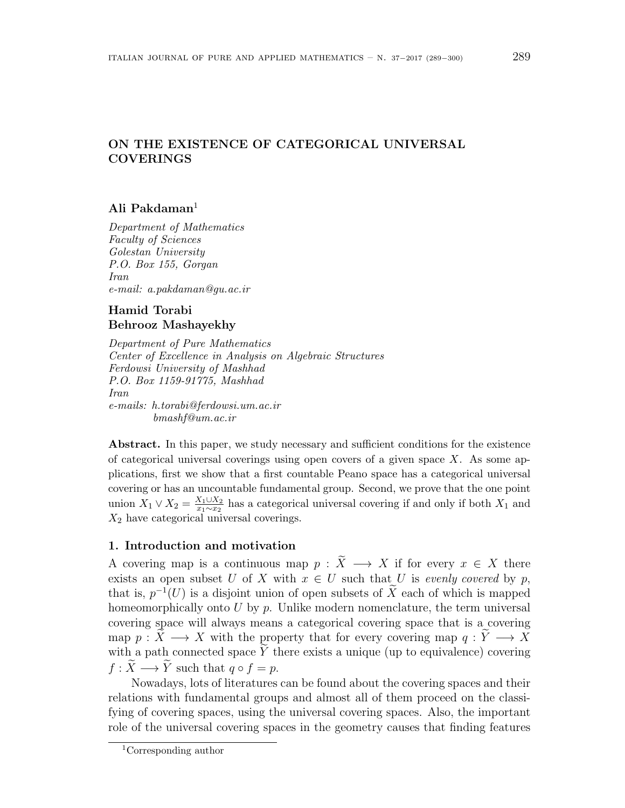# **ON THE EXISTENCE OF CATEGORICAL UNIVERSAL COVERINGS**

## **Ali Pakdaman**<sup>1</sup>

*Department of Mathematics Faculty of Sciences Golestan University P.O. Box 155, Gorgan Iran e-mail: a.pakdaman@gu.ac.ir*

# **Hamid Torabi Behrooz Mashayekhy**

*Department of Pure Mathematics Center of Excellence in Analysis on Algebraic Structures Ferdowsi University of Mashhad P.O. Box 1159-91775, Mashhad Iran e-mails: h.torabi@ferdowsi.um.ac.ir bmashf@um.ac.ir*

Abstract. In this paper, we study necessary and sufficient conditions for the existence of categorical universal coverings using open covers of a given space *X*. As some applications, first we show that a first countable Peano space has a categorical universal covering or has an uncountable fundamental group. Second, we prove that the one point  $\text{union } X_1 \vee X_2 = \frac{X_1 \cup X_2}{x_1 \sim x_2}$  $\frac{X_1 \cup X_2}{x_1 \sim x_2}$  has a categorical universal covering if and only if both  $X_1$  and *X*<sup>2</sup> have categorical universal coverings.

## **1. Introduction and motivation**

A covering map is a continuous map  $p : \tilde{X} \longrightarrow X$  if for every  $x \in X$  there exists an open subset *U* of *X* with  $x \in U$  such that *U* is *evenly covered* by *p*, that is,  $p^{-1}(U)$  is a disjoint union of open subsets of  $\tilde{X}$  each of which is mapped homeomorphically onto U by p. Unlike modern nomenclature, the term universal covering space will always means a categorical covering space that is a covering map  $p: X \longrightarrow X$  with the property that for every covering map  $q: Y \longrightarrow X$ with a path connected space  $\tilde{Y}$  there exists a unique (up to equivalence) covering  $f: \tilde{X} \longrightarrow \tilde{Y}$  such that  $q \circ f = p$ .

Nowadays, lots of literatures can be found about the covering spaces and their relations with fundamental groups and almost all of them proceed on the classifying of covering spaces, using the universal covering spaces. Also, the important role of the universal covering spaces in the geometry causes that finding features

<sup>1</sup>Corresponding author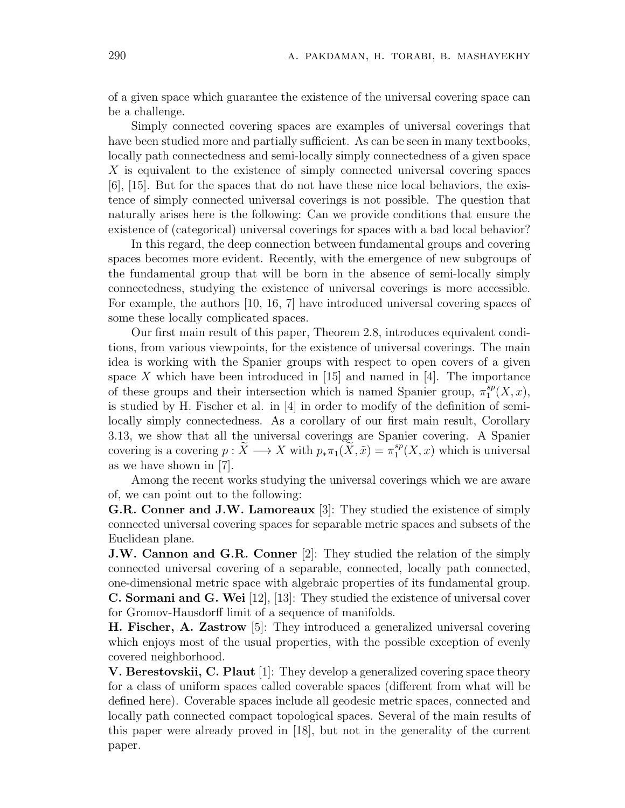of a given space which guarantee the existence of the universal covering space can be a challenge.

Simply connected covering spaces are examples of universal coverings that have been studied more and partially sufficient. As can be seen in many textbooks, locally path connectedness and semi-locally simply connectedness of a given space *X* is equivalent to the existence of simply connected universal covering spaces [6], [15]. But for the spaces that do not have these nice local behaviors, the existence of simply connected universal coverings is not possible. The question that naturally arises here is the following: Can we provide conditions that ensure the existence of (categorical) universal coverings for spaces with a bad local behavior?

In this regard, the deep connection between fundamental groups and covering spaces becomes more evident. Recently, with the emergence of new subgroups of the fundamental group that will be born in the absence of semi-locally simply connectedness, studying the existence of universal coverings is more accessible. For example, the authors [10, 16, 7] have introduced universal covering spaces of some these locally complicated spaces.

Our first main result of this paper, Theorem 2.8, introduces equivalent conditions, from various viewpoints, for the existence of universal coverings. The main idea is working with the Spanier groups with respect to open covers of a given space  $X$  which have been introduced in  $[15]$  and named in  $[4]$ . The importance of these groups and their intersection which is named Spanier group,  $\pi_1^{sp}$  $_{1}^{sp}(X,x),$ is studied by H. Fischer et al. in  $[4]$  in order to modify of the definition of semilocally simply connectedness. As a corollary of our first main result, Corollary 3.13, we show that all the universal coverings are Spanier covering. A Spanier covering is a covering  $p : \widetilde{X} \longrightarrow X$  with  $p_* \pi_1(\widetilde{X}, \widetilde{x}) = \pi_1^{sp}$  $i<sub>1</sub><sup>sp</sup>(X, x)$  which is universal as we have shown in [7].

Among the recent works studying the universal coverings which we are aware of, we can point out to the following:

**G.R. Conner and J.W. Lamoreaux** [3]: They studied the existence of simply connected universal covering spaces for separable metric spaces and subsets of the Euclidean plane.

**J.W. Cannon and G.R. Conner** [2]: They studied the relation of the simply connected universal covering of a separable, connected, locally path connected, one-dimensional metric space with algebraic properties of its fundamental group. **C. Sormani and G. Wei** [12], [13]: They studied the existence of universal cover for Gromov-Hausdorff limit of a sequence of manifolds.

**H. Fischer, A. Zastrow** [5]: They introduced a generalized universal covering which enjoys most of the usual properties, with the possible exception of evenly covered neighborhood.

**V. Berestovskii, C. Plaut** [1]: They develop a generalized covering space theory for a class of uniform spaces called coverable spaces (different from what will be defined here). Coverable spaces include all geodesic metric spaces, connected and locally path connected compact topological spaces. Several of the main results of this paper were already proved in [18], but not in the generality of the current paper.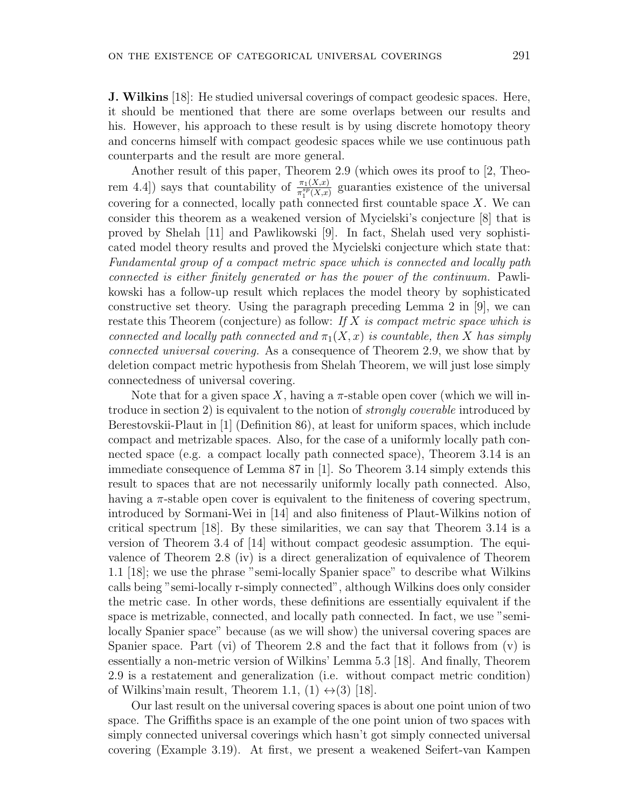counterparts and the result are more general.

**J. Wilkins** [18]: He studied universal coverings of compact geodesic spaces. Here, it should be mentioned that there are some overlaps between our results and his. However, his approach to these result is by using discrete homotopy theory and concerns himself with compact geodesic spaces while we use continuous path

Another result of this paper, Theorem 2.9 (which owes its proof to [2, Theorem 4.4) says that countability of  $\frac{\pi_1(X,x)}{\pi_1^{sp}(X,x)}$  guaranties existence of the universal covering for a connected, locally path connected first countable space *X*. We can consider this theorem as a weakened version of Mycielski's conjecture [8] that is proved by Shelah [11] and Pawlikowski [9]. In fact, Shelah used very sophisticated model theory results and proved the Mycielski conjecture which state that: *Fundamental group of a compact metric space which is connected and locally path connected is either finitely generated or has the power of the continuum.* Pawlikowski has a follow-up result which replaces the model theory by sophisticated constructive set theory. Using the paragraph preceding Lemma 2 in [9], we can restate this Theorem (conjecture) as follow: *If X is compact metric space which is connected and locally path connected and*  $\pi_1(X, x)$  *is countable, then X has simply connected universal covering.* As a consequence of Theorem 2.9, we show that by deletion compact metric hypothesis from Shelah Theorem, we will just lose simply connectedness of universal covering.

Note that for a given space X, having a  $\pi$ -stable open cover (which we will introduce in section 2) is equivalent to the notion of *strongly coverable* introduced by Berestovskii-Plaut in [1] (Definition 86), at least for uniform spaces, which include compact and metrizable spaces. Also, for the case of a uniformly locally path connected space (e.g. a compact locally path connected space), Theorem 3.14 is an immediate consequence of Lemma 87 in [1]. So Theorem 3.14 simply extends this result to spaces that are not necessarily uniformly locally path connected. Also, having a  $\pi$ -stable open cover is equivalent to the finiteness of covering spectrum, introduced by Sormani-Wei in [14] and also finiteness of Plaut-Wilkins notion of critical spectrum [18]. By these similarities, we can say that Theorem 3.14 is a version of Theorem 3.4 of [14] without compact geodesic assumption. The equivalence of Theorem 2.8 (iv) is a direct generalization of equivalence of Theorem 1.1 [18]; we use the phrase "semi-locally Spanier space" to describe what Wilkins calls being "semi-locally r-simply connected", although Wilkins does only consider the metric case. In other words, these definitions are essentially equivalent if the space is metrizable, connected, and locally path connected. In fact, we use "semilocally Spanier space" because (as we will show) the universal covering spaces are Spanier space. Part (vi) of Theorem 2.8 and the fact that it follows from (v) is essentially a non-metric version of Wilkins' Lemma 5.3 [18]. And finally, Theorem 2.9 is a restatement and generalization (i.e. without compact metric condition) of Wilkins'main result, Theorem 1.1,  $(1) \leftrightarrow (3)$  [18].

Our last result on the universal covering spaces is about one point union of two space. The Griffiths space is an example of the one point union of two spaces with simply connected universal coverings which hasn't got simply connected universal covering (Example 3.19). At first, we present a weakened Seifert-van Kampen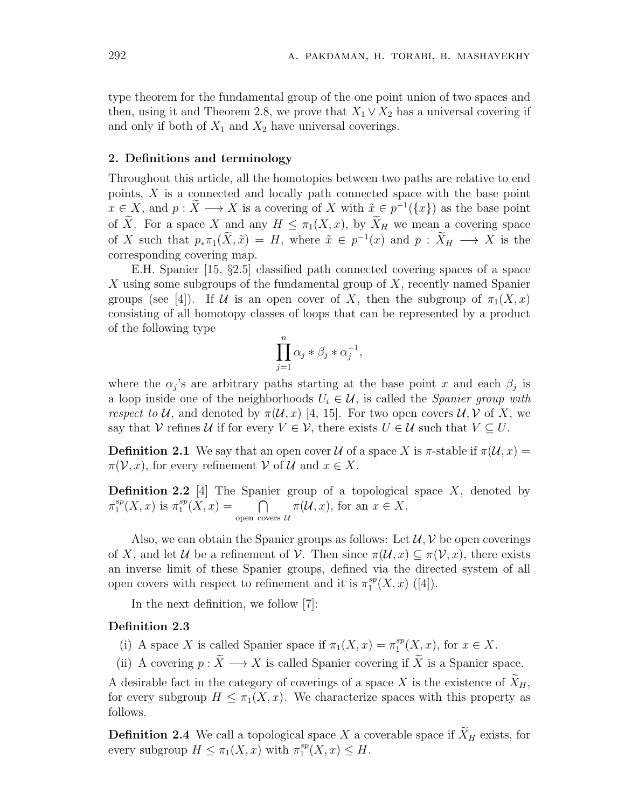type theorem for the fundamental group of the one point union of two spaces and then, using it and Theorem 2.8, we prove that  $X_1 \vee X_2$  has a universal covering if and only if both of  $X_1$  and  $X_2$  have universal coverings.

#### **2. Definitions and terminology**

Throughout this article, all the homotopies between two paths are relative to end points, *X* is a connected and locally path connected space with the base point  $x \in X$ , and  $p : X \longrightarrow X$  is a covering of *X* with  $\tilde{x} \in p^{-1}(\lbrace x \rbrace)$  as the base point of  $\widetilde{X}$ . For a space *X* and any  $H \leq \pi_1(X, x)$ , by  $\widetilde{X}_H$  we mean a covering space of *X* such that  $p_* \pi_1(\tilde{X}, \tilde{x}) = H$ , where  $\tilde{x} \in p^{-1}(x)$  and  $p : \tilde{X}_H \longrightarrow X$  is the corresponding covering map.

E.H. Spanier [15, *§*2.5] classified path connected covering spaces of a space *X* using some subgroups of the fundamental group of *X*, recently named Spanier groups (see [4]). If *U* is an open cover of *X*, then the subgroup of  $\pi_1(X, x)$ consisting of all homotopy classes of loops that can be represented by a product of the following type

$$
\prod_{j=1}^n \alpha_j * \beta_j * \alpha_j^{-1},
$$

where the  $\alpha_j$ 's are arbitrary paths starting at the base point *x* and each  $\beta_j$  is a loop inside one of the neighborhoods  $U_i \in \mathcal{U}$ , is called the *Spanier group with respect to*  $U$ , and denoted by  $\pi(U, x)$  [4, 15]. For two open covers  $U, V$  of X, we say that *V* refines *U* if for every  $V \in V$ , there exists  $U \in U$  such that  $V \subseteq U$ .

**Definition 2.1** We say that an open cover *U* of a space *X* is  $\pi$ -stable if  $\pi(\mathcal{U}, x) =$  $\pi(\mathcal{V}, x)$ , for every refinement  $\mathcal{V}$  of  $\mathcal{U}$  and  $x \in X$ .

**Definition 2.2** [4] The Spanier group of a topological space *X*, denoted by *π sp*  $i_1^{sp}(X, x)$  is  $\pi_1^{sp}$  $\bigcap_{1}^{sp}(X,x) = \bigcap$ open covers *U*  $\pi(\mathcal{U}, x)$ *,* for an  $x \in X$ .

Also, we can obtain the Spanier groups as follows: Let  $\mathcal{U}, \mathcal{V}$  be open coverings of *X*, and let *U* be a refinement of *V*. Then since  $\pi(\mathcal{U}, x) \subseteq \pi(\mathcal{V}, x)$ , there exists an inverse limit of these Spanier groups, defined via the directed system of all open covers with respect to refinement and it is  $\pi_1^{sp}$  $_1^{sp}(X, x)$  ([4]).

In the next definition, we follow [7]:

#### **Definition 2.3**

- (i) A space *X* is called Spanier space if  $\pi_1(X, x) = \pi_1^{sp}$  $i^{sp}_1(X, x)$ , for  $x \in X$ .
- (ii) A covering  $p : \widetilde{X} \longrightarrow X$  is called Spanier covering if  $\widetilde{X}$  is a Spanier space.

A desirable fact in the category of coverings of a space X is the existence of  $\widetilde{X}_H$ , for every subgroup  $H \leq \pi_1(X, x)$ . We characterize spaces with this property as follows.

**Definition 2.4** We call a topological space *X* a coverable space if  $\tilde{X}_H$  exists, for every subgroup  $H \leq \pi_1(X, x)$  with  $\pi_1^{sp}$  $_{1}^{sp}(X, x) \leq H.$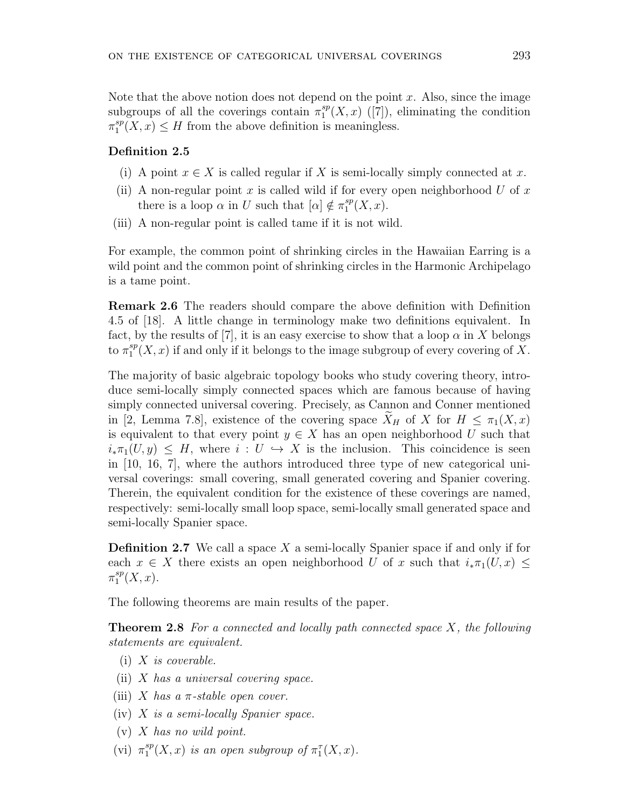Note that the above notion does not depend on the point *x*. Also, since the image subgroups of all the coverings contain  $\pi_1^{sp}$  $_{1}^{sp}(X,x)$  ([7]), eliminating the condition *π sp*  $\binom{sp}{1}(X,x) \leq H$  from the above definition is meaningless.

### **Definition 2.5**

- (i) A point  $x \in X$  is called regular if X is semi-locally simply connected at x.
- (ii) A non-regular point *x* is called wild if for every open neighborhood *U* of *x* there is a loop  $\alpha$  in *U* such that  $[\alpha] \notin \pi_1^{sp}$  $_{1}^{sp}(X,x).$
- (iii) A non-regular point is called tame if it is not wild.

For example, the common point of shrinking circles in the Hawaiian Earring is a wild point and the common point of shrinking circles in the Harmonic Archipelago is a tame point.

**Remark 2.6** The readers should compare the above definition with Definition 4.5 of [18]. A little change in terminology make two definitions equivalent. In fact, by the results of [7], it is an easy exercise to show that a loop  $\alpha$  in X belongs to  $\pi_1^{sp}$  $i_1^{sp}(X, x)$  if and only if it belongs to the image subgroup of every covering of X.

The majority of basic algebraic topology books who study covering theory, introduce semi-locally simply connected spaces which are famous because of having simply connected universal covering. Precisely, as Cannon and Conner mentioned in [2, Lemma 7.8], existence of the covering space  $\widetilde{X}_H$  of *X* for  $H \leq \pi_1(X,x)$ is equivalent to that every point  $y \in X$  has an open neighborhood U such that  $i_*\pi_1(U, y) \leq H$ , where  $i: U \hookrightarrow X$  is the inclusion. This coincidence is seen in [10, 16, 7], where the authors introduced three type of new categorical universal coverings: small covering, small generated covering and Spanier covering. Therein, the equivalent condition for the existence of these coverings are named, respectively: semi-locally small loop space, semi-locally small generated space and semi-locally Spanier space.

**Definition 2.7** We call a space *X* a semi-locally Spanier space if and only if for each  $x \in X$  there exists an open neighborhood *U* of *x* such that  $i_* \pi_1(U, x) \leq$ *π sp*  $_{1}^{sp}(X,x).$ 

The following theorems are main results of the paper.

**Theorem 2.8** *For a connected and locally path connected space X, the following statements are equivalent.*

- (i) *X is coverable.*
- (ii) *X has a universal covering space.*
- (iii) *X* has a  $\pi$ -stable open cover.
- (iv) *X is a semi-locally Spanier space.*
- (v) *X has no wild point.*
- $(vi)$   $\pi_1^{sp}$  $_{1}^{sp}(X, x)$  *is an open subgroup of*  $\pi_1^{\tau}(X, x)$ *.*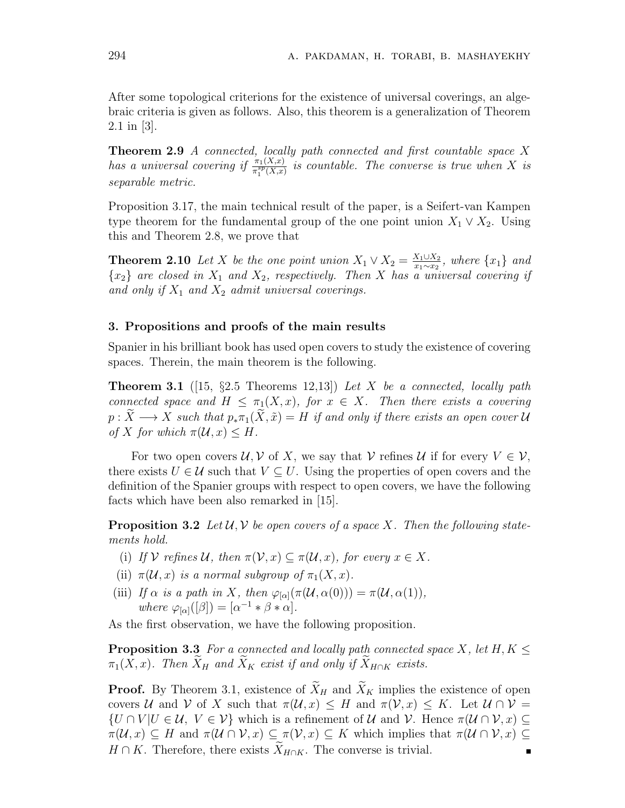After some topological criterions for the existence of universal coverings, an algebraic criteria is given as follows. Also, this theorem is a generalization of Theorem 2.1 in [3].

**Theorem 2.9** *A connected, locally path connected and first countable space X has a universal covering if*  $\frac{\pi_1(X,x)}{\pi_1^{sp}(X,x)}$  *is countable. The converse is true when X is separable metric.*

Proposition 3.17, the main technical result of the paper, is a Seifert-van Kampen type theorem for the fundamental group of the one point union  $X_1 \vee X_2$ . Using this and Theorem 2.8, we prove that

**Theorem 2.10** *Let X be the one point union*  $X_1 \vee X_2 = \frac{X_1 \cup X_2}{X_1 \wedge X_2}$ *x*1*∼x*<sup>2</sup> *, where {x*1*} and*  ${x_2}$  *are closed in*  $X_1$  *and*  $X_2$ *, respectively. Then X has a universal covering if and only if X*<sup>1</sup> *and X*<sup>2</sup> *admit universal coverings.*

#### **3. Propositions and proofs of the main results**

Spanier in his brilliant book has used open covers to study the existence of covering spaces. Therein, the main theorem is the following.

**Theorem 3.1** ([15, *§*2.5 Theorems 12,13]) *Let X be a connected, locally path connected space and*  $H \leq \pi_1(X,x)$ *, for*  $x \in X$ *. Then there exists a covering*  $p: \widetilde{X} \longrightarrow X$  *such that*  $p_*\pi_1(\widetilde{X}, \widetilde{x}) = H$  *if and only if there exists an open cover*  $U$ *of X for which*  $\pi(\mathcal{U}, x) \leq H$ *.* 

For two open covers  $U, V$  of X, we say that  $V$  refines  $U$  if for every  $V \in V$ , there exists  $U \in \mathcal{U}$  such that  $V \subseteq U$ . Using the properties of open covers and the definition of the Spanier groups with respect to open covers, we have the following facts which have been also remarked in [15].

**Proposition 3.2** Let  $\mathcal{U}, \mathcal{V}$  be open covers of a space X. Then the following state*ments hold.*

- (i) If  $\mathcal{V}$  refines  $\mathcal{U}$ , then  $\pi(\mathcal{V}, x) \subseteq \pi(\mathcal{U}, x)$ , for every  $x \in X$ .
- (ii)  $\pi(\mathcal{U}, x)$  *is a normal subgroup of*  $\pi_1(X, x)$ *.*
- (iii) *If*  $\alpha$  *is a path in X, then*  $\varphi_{\alpha}(\pi(\mathcal{U}, \alpha(0))) = \pi(\mathcal{U}, \alpha(1)),$  $where \varphi_{[\alpha]}([\beta]) = [\alpha^{-1} * \beta * \alpha].$

As the first observation, we have the following proposition.

**Proposition 3.3** *For a connected and locally path connected space X, let H, K ≤*  $\pi_1(X, x)$ *. Then*  $\widetilde{X}_H$  *and*  $\widetilde{X}_K$  *exist if and only if*  $\widetilde{X}_{H \cap K}$  *exists.* 

**Proof.** By Theorem 3.1, existence of  $\widetilde{X}_H$  and  $\widetilde{X}_K$  implies the existence of open covers *U* and *V* of *X* such that  $\pi(\mathcal{U}, x) \leq H$  and  $\pi(\mathcal{V}, x) \leq K$ . Let  $\mathcal{U} \cap \mathcal{V} =$  $\{U \cap V | U \in \mathcal{U}, V \in \mathcal{V}\}\$  which is a refinement of  $\mathcal{U}$  and  $\mathcal{V}$ . Hence  $\pi(\mathcal{U} \cap \mathcal{V}, x) \subseteq$  $\pi(\mathcal{U}, x) \subseteq H$  and  $\pi(\mathcal{U} \cap \mathcal{V}, x) \subseteq \pi(\mathcal{V}, x) \subseteq K$  which implies that  $\pi(\mathcal{U} \cap \mathcal{V}, x) \subseteq$  $H \cap K$ . Therefore, there exists  $\widetilde{X}_{H \cap K}$ . The converse is trivial.  $\blacksquare$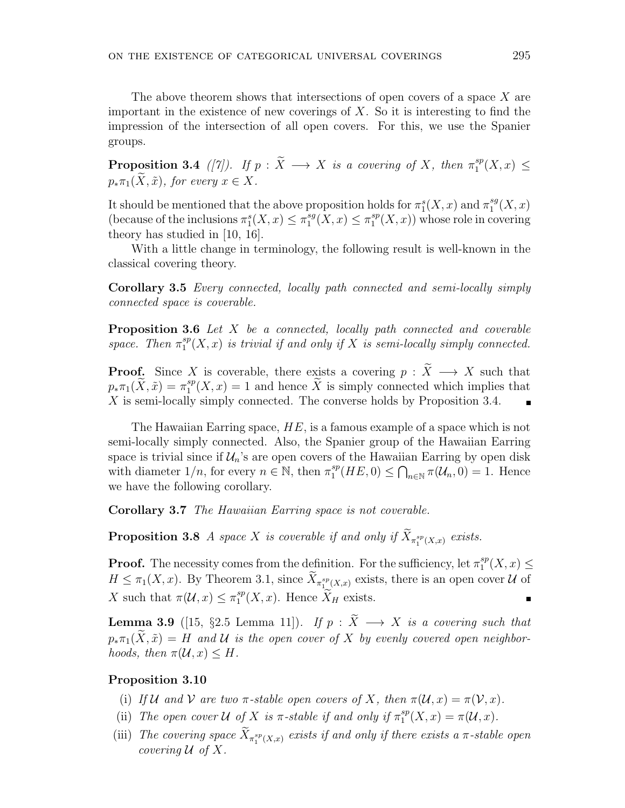The above theorem shows that intersections of open covers of a space *X* are important in the existence of new coverings of *X*. So it is interesting to find the impression of the intersection of all open covers. For this, we use the Spanier groups.

**Proposition 3.4** *([7]).* If  $p : \widetilde{X} \longrightarrow X$  is a covering of X, then  $\pi_1^{sp}$  $i_1^{sp}(X,x) \leq$  $p_* \pi_1(\widetilde{X}, \widetilde{x})$ *, for every*  $x \in X$ *.* 

It should be mentioned that the above proposition holds for  $\pi_1^s(X, x)$  and  $\pi_1^{sg}$  $_{1}^{sg}(X,x)$ (because of the inclusions  $\pi_1^s(X, x) \leq \pi_1^{sg}$  $\pi_1^{sg}(X, x) \leq \pi_1^{sp}$  $_{1}^{sp}(X,x)$ ) whose role in covering theory has studied in [10, 16].

With a little change in terminology, the following result is well-known in the classical covering theory.

**Corollary 3.5** *Every connected, locally path connected and semi-locally simply connected space is coverable.*

**Proposition 3.6** *Let X be a connected, locally path connected and coverable space.* Then  $\pi_1^{sp}$  $i_1^{sp}(X,x)$  *is trivial if and only if*  $X$  *is semi-locally simply connected.* 

**Proof.** Since *X* is coverable, there exists a covering  $p : \widetilde{X} \longrightarrow X$  such that  $p_*\pi_1(\widetilde{X}, \widetilde{x}) = \pi_1^{sp}$  $L_1^{sp}(X, x) = 1$  and hence X is simply connected which implies that *X* is semi-locally simply connected. The converse holds by Proposition 3.4.

The Hawaiian Earring space, *HE*, is a famous example of a space which is not semi-locally simply connected. Also, the Spanier group of the Hawaiian Earring space is trivial since if  $\mathcal{U}_n$ 's are open covers of the Hawaiian Earring by open disk with diameter  $1/n$ , for every  $n \in \mathbb{N}$ , then  $\pi_1^{sp}$  $\bigcap_{1}^{sp}(HE, 0) \le \bigcap_{n \in \mathbb{N}} \pi(\mathcal{U}_n, 0) = 1.$  Hence we have the following corollary.

**Corollary 3.7** *The Hawaiian Earring space is not coverable.*

**Proposition 3.8** *A space X is coverable if and only if*  $X_{\pi_1^{sp}(X,x)}$  *exists.* 

**Proof.** The necessity comes from the definition. For the sufficiency, let  $\pi_1^{sp}$  $_1^{sp}(X, x) \leq$  $H \leq \pi_1(X, x)$ . By Theorem 3.1, since  $X_{\pi_1^{sp}(X, x)}$  exists, there is an open cover *U* of *X* such that  $\pi(\mathcal{U}, x) \leq \pi_1^{sp}$  $I_1^{sp}(X, x)$ . Hence  $X_H$  exists.  $\blacksquare$ 

**Lemma 3.9** ([15, *§*2.5 Lemma 11])*.* If  $p : \widetilde{X} \longrightarrow X$  is a covering such that  $p_*\pi_1(\widetilde{X}, \widetilde{x}) = H$  *and*  $U$  *is the open cover of*  $X$  *by evenly covered open neighborhoods, then*  $\pi(\mathcal{U}, x) \leq H$ *.* 

## **Proposition 3.10**

- (i) If  $U$  and  $V$  are two  $\pi$ -stable open covers of X, then  $\pi(U, x) = \pi(V, x)$ .
- (ii) *The open cover*  $U$  *of*  $X$  *is*  $\pi$ -stable *if* and only *if*  $\pi_1^{sp}$  $_{1}^{sp}(X, x) = \pi(\mathcal{U}, x).$
- (iii) *The covering space*  $X_{\pi_1^{sp}(X,x)}$  *exists if and only if there exists a*  $\pi$ -stable open *covering*  $U$  *of*  $X$ *.*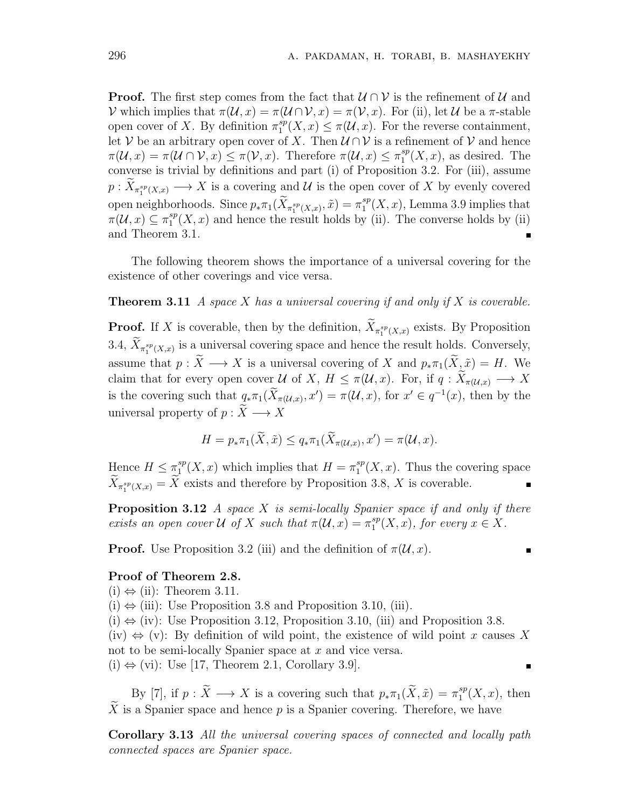**Proof.** The first step comes from the fact that *U ∩ V* is the refinement of *U* and *V* which implies that  $\pi(\mathcal{U}, x) = \pi(\mathcal{U} \cap \mathcal{V}, x) = \pi(\mathcal{V}, x)$ . For (ii), let *U* be a π-stable open cover of *X*. By definition  $\pi_1^{sp}$  $\mathcal{L}_1^{sp}(X,x) \leq \pi(\mathcal{U},x)$ . For the reverse containment, let *V* be an arbitrary open cover of *X*. Then  $U \cap V$  is a refinement of *V* and hence  $\pi(\mathcal{U}, x) = \pi(\mathcal{U} \cap \mathcal{V}, x) \leq \pi(\mathcal{V}, x)$ . Therefore  $\pi(\mathcal{U}, x) \leq \pi_1^{sp}$  $i_1^{sp}(X, x)$ , as desired. The converse is trivial by definitions and part (i) of Proposition 3.2. For (iii), assume  $p: X_{\pi_1^{sp}(X,x)} \longrightarrow X$  is a covering and *U* is the open cover of *X* by evenly covered open neighborhoods. Since  $p_* \pi_1(\widetilde{X}_{\pi_1^{sp}(X,x)}, \tilde{x}) = \pi_1^{sp}$  $i_1^{sp}(X, x)$ , Lemma 3.9 implies that  $\pi(\mathcal{U},x) \subseteq \pi_1^{sp}$  $_{1}^{sp}(X,x)$  and hence the result holds by (ii). The converse holds by (ii) and Theorem 3.1.

The following theorem shows the importance of a universal covering for the existence of other coverings and vice versa.

#### **Theorem 3.11** *A space X has a universal covering if and only if X is coverable.*

**Proof.** If *X* is coverable, then by the definition,  $X_{\pi_1^{sp}(X,x)}$  exists. By Proposition 3.4,  $X_{\pi_1^{sp}(X,x)}$  is a universal covering space and hence the result holds. Conversely, assume that  $p : \widetilde{X} \longrightarrow X$  is a universal covering of X and  $p_* \pi_1(\widetilde{X}, \widetilde{x}) = H$ . We claim that for every open cover *U* of *X*,  $H \leq \pi(\mathcal{U}, x)$ . For, if  $q : \widetilde{X}_{\pi(\mathcal{U}, x)} \longrightarrow X$ is the covering such that  $q_* \pi_1(\tilde{X}_{\pi(\mathcal{U},x)}, x') = \pi(\mathcal{U}, x)$ , for  $x' \in q^{-1}(x)$ , then by the universal property of  $p : \widetilde{X} \longrightarrow X$ 

$$
H = p_* \pi_1(\widetilde{X}, \widetilde{x}) \le q_* \pi_1(\widetilde{X}_{\pi(\mathcal{U}, x)}, x') = \pi(\mathcal{U}, x).
$$

Hence  $H \leq \pi_1^{sp}$  $_{1}^{sp}(X, x)$  which implies that  $H = \pi_{1}^{sp}$  $i<sub>1</sub><sup>sp</sup>(X, x)$ . Thus the covering space  $X_{\pi_1^{sp}(X,x)} = X$  exists and therefore by Proposition 3.8, *X* is coverable.

**Proposition 3.12** *A space X is semi-locally Spanier space if and only if there exists an open cover*  $U$  *of*  $X$  *such that*  $\pi(U, x) = \pi_1^{sp}$  $_{1}^{sp}(X, x)$ *, for every*  $x \in X$ *.* 

**Proof.** Use Proposition 3.2 (iii) and the definition of  $\pi(\mathcal{U}, x)$ .

 $\blacksquare$ 

#### **Proof of Theorem 2.8.**

- $(i) \Leftrightarrow (ii)$ : Theorem 3.11.
- (i) *⇔* (iii): Use Proposition 3.8 and Proposition 3.10, (iii).
- (i) *⇔* (iv): Use Proposition 3.12, Proposition 3.10, (iii) and Proposition 3.8.

(iv) *⇔* (v): By definition of wild point, the existence of wild point *x* causes *X* not to be semi-locally Spanier space at *x* and vice versa.

(i) *⇔* (vi): Use [17, Theorem 2.1, Corollary 3.9].

By [7], if  $p : \tilde{X} \longrightarrow X$  is a covering such that  $p_* \pi_1(\tilde{X}, \tilde{x}) = \pi_1^{sp}$  $i<sup>sp</sup><sub>1</sub>(X, x)$ , then  $\widetilde{X}$  is a Spanier space and hence *p* is a Spanier covering. Therefore, we have

**Corollary 3.13** *All the universal covering spaces of connected and locally path connected spaces are Spanier space.*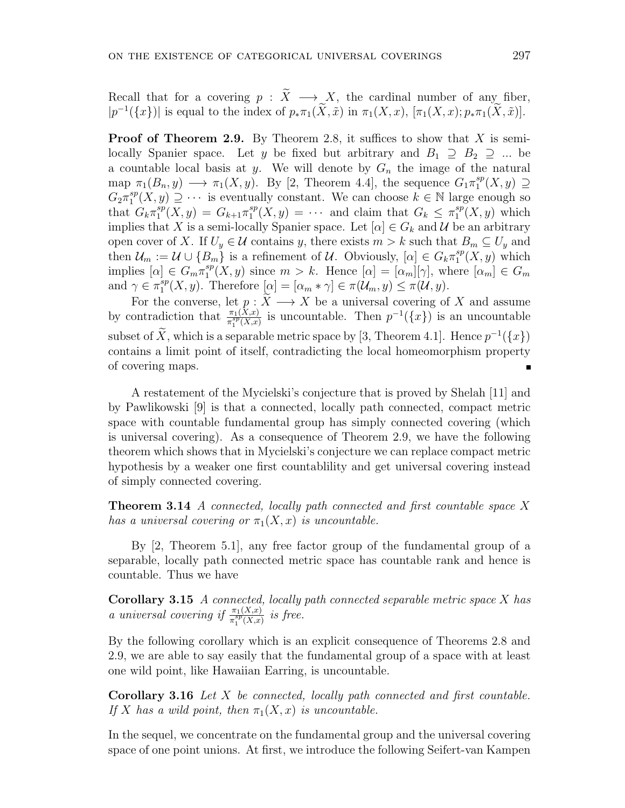Recall that for a covering  $p : \tilde{X} \longrightarrow X$ , the cardinal number of any fiber,  $|p^{-1}(\{x\})|$  is equal to the index of  $p_*\pi_1(\tilde{X}, \tilde{x})$  in  $\pi_1(X, x)$ ,  $[\pi_1(X, x); p_*\pi_1(\tilde{X}, \tilde{x})]$ .

**Proof of Theorem 2.9.** By Theorem 2.8, it suffices to show that *X* is semilocally Spanier space. Let *y* be fixed but arbitrary and  $B_1 \supseteq B_2 \supseteqeq ...$  be a countable local basis at *y*. We will denote by *G<sup>n</sup>* the image of the natural map  $\pi_1(B_n, y) \longrightarrow \pi_1(X, y)$ . By [2, Theorem 4.4], the sequence  $G_1 \pi_1^{sp}$  $i_1^{sp}(X, y)$  ⊇  $G_2 \pi_1^{sp}$ <sup>sp</sup>(X, y) ⊇ · · · is eventually constant. We can choose  $k \in \mathbb{N}$  large enough so that  $G_k \pi_1^{sp}$  $G_1^{sp}(X, y) = G_{k+1} \pi_1^{sp}$  $T_1^{sp}(X, y) = \cdots$  and claim that  $G_k \leq \pi_1^{sp}$  $i<sup>sp</sup>(X, y)$  which implies that *X* is a semi-locally Spanier space. Let  $[\alpha] \in G_k$  and *U* be an arbitrary open cover of *X*. If  $U_y \in \mathcal{U}$  contains *y*, there exists  $m > k$  such that  $B_m \subseteq U_y$  and then  $\mathcal{U}_m := \mathcal{U} \cup \{B_m\}$  is a refinement of  $\mathcal{U}$ . Obviously,  $[\alpha] \in G_k \pi_1^{sp}$  $i^{sp}(X, y)$  which  ${\rm implies}$   $[\alpha] \in G_m \pi_1^{sp}$  $\binom{sp}{1}(X, y)$  since  $m > k$ . Hence  $[\alpha] = [\alpha_m][\gamma]$ , where  $[\alpha_m] \in G_m$ and  $\gamma \in \pi_1^{sp}$  $\mathbb{P}_1^{sp}(X, y)$ . Therefore  $[\alpha] = [\alpha_m * \gamma] \in \pi(\mathcal{U}_m, y) \leq \pi(\mathcal{U}, y)$ .

For the converse, let  $p : X \longrightarrow X$  be a universal covering of X and assume by contradiction that  $\frac{\pi_1(X,x)}{\pi_1^{sp}(X,x)}$  is uncountable. Then  $p^{-1}(\lbrace x \rbrace)$  is an uncountable subset of  $\overline{X}$ , which is a separable metric space by [3, Theorem 4.1]. Hence  $p^{-1}(\lbrace x \rbrace)$ contains a limit point of itself, contradicting the local homeomorphism property of covering maps.

A restatement of the Mycielski's conjecture that is proved by Shelah [11] and by Pawlikowski [9] is that a connected, locally path connected, compact metric space with countable fundamental group has simply connected covering (which is universal covering). As a consequence of Theorem 2.9, we have the following theorem which shows that in Mycielski's conjecture we can replace compact metric hypothesis by a weaker one first countablility and get universal covering instead of simply connected covering.

**Theorem 3.14** *A connected, locally path connected and first countable space X has a universal covering or*  $\pi_1(X, x)$  *is uncountable.* 

By [2, Theorem 5.1], any free factor group of the fundamental group of a separable, locally path connected metric space has countable rank and hence is countable. Thus we have

**Corollary 3.15** *A connected, locally path connected separable metric space X has a* universal covering if  $\frac{\pi_1(X,x)}{\pi_1^{sp}(X,x)}$  is free.

By the following corollary which is an explicit consequence of Theorems 2.8 and 2.9, we are able to say easily that the fundamental group of a space with at least one wild point, like Hawaiian Earring, is uncountable.

**Corollary 3.16** *Let X be connected, locally path connected and first countable. If X* has a wild point, then  $\pi_1(X, x)$  *is uncountable.* 

In the sequel, we concentrate on the fundamental group and the universal covering space of one point unions. At first, we introduce the following Seifert-van Kampen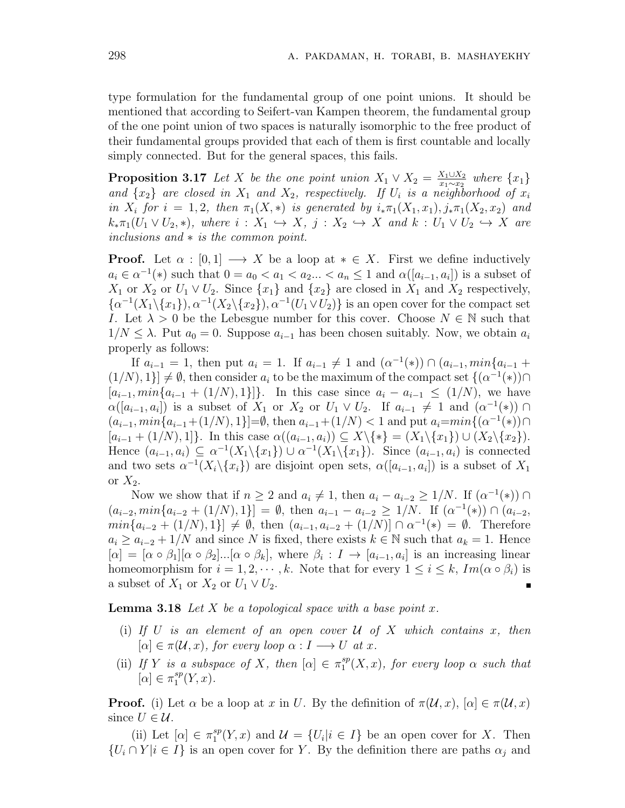type formulation for the fundamental group of one point unions. It should be mentioned that according to Seifert-van Kampen theorem, the fundamental group of the one point union of two spaces is naturally isomorphic to the free product of their fundamental groups provided that each of them is first countable and locally simply connected. But for the general spaces, this fails.

**Proposition 3.17** *Let X be the one point union*  $X_1 \vee X_2 = \frac{X_1 \cup X_2}{X_1 \wedge X_2}$ *x*<sup>1</sup><sup>*x*<sub>2</sub></sub><sup>*x*<sub>2</sub></sup> *where {x*<sub>1</sub>*} f*<sub>*f*</sub> *f*<sub>*f*</sub> *f*<sub>*f*</sub> *f*<sub>*f*</sub> *f*<sub>*f*</sub> *f*<sub>*f*</sub> *f*<sub>*f*</sub> *f*<sub>*f*</sub> *f*<sub>*f*</sub> *f*<sub>*f*</sub> *f*<sub>*f*</sub> *f*<sub>*f*</sub> *f*<sub>*f*</sub> *f*<sub>*f*</sub> *f*<sub>*f*</sub> *f*<sub>*f*</sub> *f*<sub>*f*</sub> *f*<sub>*f*</sub> *f*<sub>*f*</sub> *f*<sub>*f*</sup></sup></sub> and  $\{x_2\}$  are closed in  $X_1$  and  $X_2$ , respectively. If  $U_i$  is a neighborhood of  $x_i$ in  $X_i$  for  $i = 1, 2$ , then  $\pi_1(X, *)$  is generated by  $i_*\pi_1(X_1, x_1), j_*\pi_1(X_2, x_2)$  and  $k_*\pi_1(U_1 \vee U_2, *)$ , where  $i: X_1 \hookrightarrow X$ ,  $j: X_2 \hookrightarrow X$  and  $k: U_1 \vee U_2 \hookrightarrow X$  are *inclusions and ∗ is the common point.*

**Proof.** Let  $\alpha : [0,1] \longrightarrow X$  be a loop at  $* \in X$ . First we define inductively  $a_i \in \alpha^{-1}(*)$  such that  $0 = a_0 < a_1 < a_2... < a_n \le 1$  and  $\alpha([a_{i-1}, a_i])$  is a subset of *X*<sub>1</sub> or *X*<sub>2</sub> or  $U_1 \vee U_2$ . Since  $\{x_1\}$  and  $\{x_2\}$  are closed in  $X_1$  and  $X_2$  respectively,  $\{\alpha^{-1}(X_1 \setminus \{x_1\})$ ,  $\alpha^{-1}(X_2 \setminus \{x_2\})$ ,  $\alpha^{-1}(U_1 \vee U_2)$ } is an open cover for the compact set *I*. Let  $\lambda > 0$  be the Lebesgue number for this cover. Choose  $N \in \mathbb{N}$  such that 1/ $N$  ≤  $\lambda$ . Put  $a_0$  = 0. Suppose  $a_{i-1}$  has been chosen suitably. Now, we obtain  $a_i$ properly as follows:

If  $a_{i-1} = 1$ , then put  $a_i = 1$ . If  $a_{i-1} \neq 1$  and  $(a^{-1}(*) \cap (a_{i-1}, min\{a_{i-1} + \dots\})$  $(1/N), 1$ }  $\neq \emptyset$ , then consider  $a_i$  to be the maximum of the compact set  $\{(\alpha^{-1}(*)\} \cap$  $[a_{i-1}, min\{a_{i-1} + (1/N), 1\}]\}.$  In this case since  $a_i - a_{i-1} \leq (1/N),$  we have *α*([ $a$ <sup>*i*</sup><sub>−1</sub>,  $a$ <sup>*i*</sup></sup>]) is a subset of *X*<sub>1</sub> or *X*<sub>2</sub> or *U*<sub>1</sub>  $\vee$  *U*<sub>2</sub>. If  $a$ <sup>*i*</sup><sub>−1</sub>  $\neq$  1 and  $(a^{-1}(\ast))$  ∩  $(a_{i-1}, min{a_{i-1}+(1/N), 1}) = \emptyset$ , then  $a_{i-1}+(1/N) < 1$  and put  $a_i = min{(\alpha^{-1}(*) \cap \alpha_i)}$  $[a_{i-1} + (1/N), 1]$ . In this case  $\alpha((a_{i-1}, a_i)) \subseteq X \setminus \{*\} = (X_1 \setminus \{x_1\}) \cup (X_2 \setminus \{x_2\}).$ Hence  $(a_{i-1}, a_i) \subseteq \alpha^{-1}(X_1 \setminus \{x_1\}) \cup \alpha^{-1}(X_1 \setminus \{x_1\})$ . Since  $(a_{i-1}, a_i)$  is connected and two sets  $\alpha^{-1}(X_i \setminus \{x_i\})$  are disjoint open sets,  $\alpha([a_{i-1}, a_i])$  is a subset of  $X_1$ or  $X_2$ .

Now we show that if  $n \geq 2$  and  $a_i \neq 1$ , then  $a_i - a_{i-2} \geq 1/N$ . If  $(\alpha^{-1}(\ast)) \cap$  $(a_{i-2}, min{a_{i-2} + (1/N), 1}) = \emptyset$ , then  $a_{i-1} - a_{i-2} \ge 1/N$ . If  $(\alpha^{-1}(\ast)) \cap (a_{i-2},$  $min\{a_{i-2} + (1/N), 1\}$   $\neq \emptyset$ , then  $(a_{i-1}, a_{i-2} + (1/N)] \cap \alpha^{-1}(*) = \emptyset$ . Therefore  $a_i \ge a_{i-2} + 1/N$  and since *N* is fixed, there exists  $k \in \mathbb{N}$  such that  $a_k = 1$ . Hence  $[\alpha] = [\alpha \circ \beta_1][\alpha \circ \beta_2] \dots [\alpha \circ \beta_k],$  where  $\beta_i : I \to [a_{i-1}, a_i]$  is an increasing linear homeomorphism for  $i = 1, 2, \dots, k$ . Note that for every  $1 \leq i \leq k$ ,  $Im(\alpha \circ \beta_i)$  is a subset of  $X_1$  or  $X_2$  or  $U_1 \vee U_2$ .

**Lemma 3.18** *Let*  $X$  *be a topological space with a base point*  $x$ *.* 

- (i) If  $U$  is an element of an open cover  $U$  of  $X$  which contains  $x$ , then  $[\alpha] \in \pi(\mathcal{U}, x)$ , for every loop  $\alpha: I \longrightarrow U$  at x.
- (ii) *If Y is a subspace of X, then*  $[\alpha] \in \pi_1^{sp}$  $i_1^{sp}(X,x)$ , for every loop  $\alpha$  *such that*  $[\alpha] \in \pi_1^{sp}$  $_{1}^{sp}(Y,x).$

**Proof.** (i) Let  $\alpha$  be a loop at  $x$  in  $U$ . By the definition of  $\pi(\mathcal{U}, x)$ ,  $[\alpha] \in \pi(\mathcal{U}, x)$ since  $U \in \mathcal{U}$ .

(ii) Let  $[\alpha] \in \pi_1^{sp}$  $\mathcal{U} = \{U_i | i \in I\}$  be an open cover for *X*. Then  $\{U_i \cap Y \mid i \in I\}$  is an open cover for *Y*. By the definition there are paths  $\alpha_j$  and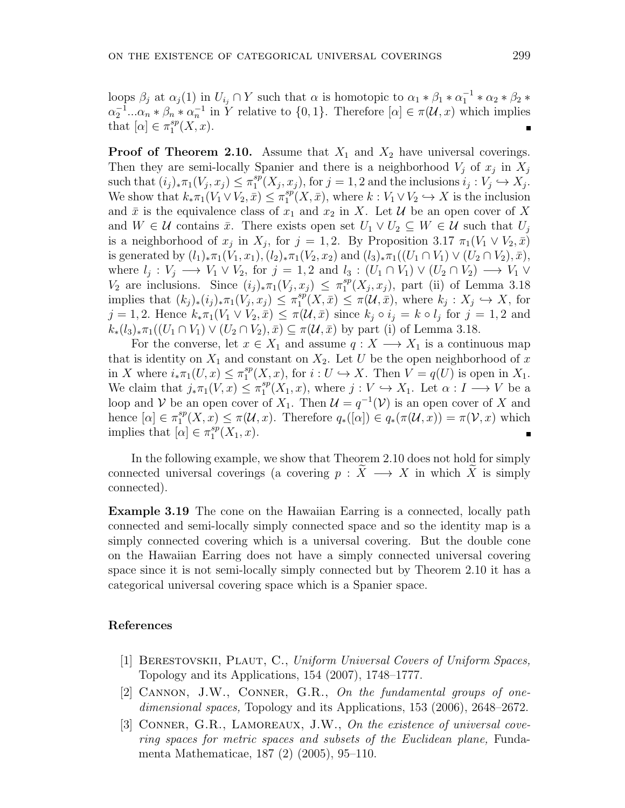loops  $\beta_j$  at  $\alpha_j(1)$  in  $U_{i_j} \cap Y$  such that  $\alpha$  is homotopic to  $\alpha_1 * \beta_1 * \alpha_1^{-1} * \alpha_2 * \beta_2 *$  $\alpha_2^{-1}...\alpha_n * \beta_n * \alpha_n^{-1}$  in Y relative to  $\{0,1\}$ . Therefore  $[\alpha] \in \pi(\mathcal{U},x)$  which implies that  $[\alpha] \in \pi_1^{sp}$  $_{1}^{sp}(X,x).$ 

**Proof of Theorem 2.10.** Assume that  $X_1$  and  $X_2$  have universal coverings. Then they are semi-locally Spanier and there is a neighborhood  $V_j$  of  $x_j$  in  $X_j$ such that  $(i_j)_*\pi_1(V_j, x_j) \leq \pi_1^{sp}$  $i_j: V_j \hookrightarrow X_j$ .<br>  $i_j: V_j \hookrightarrow X_j$ . We show that  $k_* \pi_1(V_1 \vee V_2, \bar{x}) \leq \pi_1^{sp}$  $i_1^{sp}(X, \bar{x})$ , where  $k: V_1 \vee V_2 \hookrightarrow X$  is the inclusion and  $\bar{x}$  is the equivalence class of  $x_1$  and  $x_2$  in X. Let  $\mathcal U$  be an open cover of X and  $W \in \mathcal{U}$  contains  $\bar{x}$ . There exists open set  $U_1 \vee U_2 \subseteq W \in \mathcal{U}$  such that  $U_j$ is a neighborhood of  $x_j$  in  $X_j$ , for  $j = 1, 2$ . By Proposition 3.17  $\pi_1(V_1 \vee V_2, \bar{x})$ is generated by  $(l_1)_*\pi_1(V_1, x_1), (l_2)_*\pi_1(V_2, x_2)$  and  $(l_3)_*\pi_1((U_1 \cap V_1) \vee (U_2 \cap V_2), \bar{x}),$  $W = \ell_j : V_j \longrightarrow V_1 \vee V_2$ , for  $j = 1, 2$  and  $l_3 : (U_1 \cap V_1) \vee (U_2 \cap V_2) \longrightarrow V_1 \vee V_2$ *V*<sub>2</sub> are inclusions. Since  $(i_j)_*\pi_1(V_j, x_j) \leq \pi_1^{sp}$  $_{1}^{sp}(X_j,x_j)$ , part (ii) of Lemma 3.18 implies that  $(k_j)_*(i_j)_*\pi_1(V_j,x_j) \leq \pi_1^{sp}$  $\mathcal{L}_1^{sp}(X,\bar{x}) \leq \pi(\mathcal{U},\bar{x}),$  where  $k_j: X_j \hookrightarrow X$ , for  $j = 1, 2$ . Hence  $k_* \pi_1(V_1 \vee V_2, \bar{x}) \leq \pi(\mathcal{U}, \bar{x})$  since  $k_j \circ i_j = k \circ l_j$  for  $j = 1, 2$  and  $k_*(l_3)_*\pi_1((U_1 \cap V_1) \vee (U_2 \cap V_2), \bar{x}) \subseteq \pi(\mathcal{U}, \bar{x})$  by part (i) of Lemma 3.18.

For the converse, let  $x \in X_1$  and assume  $q: X \longrightarrow X_1$  is a continuous map that is identity on  $X_1$  and constant on  $X_2$ . Let *U* be the open neighborhood of x in *X* where  $i_*\pi_1(U, x) \leq \pi_1^{sp}$  $i_1^{sp}(X, x)$ , for  $i: U \hookrightarrow X$ . Then  $V = q(U)$  is open in  $X_1$ . We claim that  $j_*\pi_1(V, x) \leq \pi_1^{sp}$  $i_1^{sp}(X_1, x)$ , where  $j: V \hookrightarrow X_1$ . Let  $\alpha: I \longrightarrow V$  be a loop and *V* be an open cover of  $X_1$ . Then  $\mathcal{U} = q^{-1}(\mathcal{V})$  is an open cover of *X* and hence  $[\alpha] \in \pi_1^{sp}$  $\mathcal{I}_1^{sp}(X, x) \leq \pi(\mathcal{U}, x)$ . Therefore  $q_*(\alpha \mid \alpha) \in q_*(\pi(\mathcal{U}, x)) = \pi(\mathcal{V}, x)$  which implies that  $[\alpha] \in \pi_1^{sp}$  $_{1}^{sp}(X_1,x).$ 

In the following example, we show that Theorem 2.10 does not hold for simply connected universal coverings (a covering  $p : \tilde{X} \longrightarrow X$  in which  $\tilde{X}$  is simply connected).

**Example 3.19** The cone on the Hawaiian Earring is a connected, locally path connected and semi-locally simply connected space and so the identity map is a simply connected covering which is a universal covering. But the double cone on the Hawaiian Earring does not have a simply connected universal covering space since it is not semi-locally simply connected but by Theorem 2.10 it has a categorical universal covering space which is a Spanier space.

#### **References**

- [1] Berestovskii, Plaut, C., *Uniform Universal Covers of Uniform Spaces,* Topology and its Applications, 154 (2007), 1748–1777.
- [2] Cannon, J.W., Conner, G.R., *On the fundamental groups of onedimensional spaces,* Topology and its Applications, 153 (2006), 2648–2672.
- [3] CONNER, G.R., LAMOREAUX, J.W., On the existence of universal cove*ring spaces for metric spaces and subsets of the Euclidean plane,* Fundamenta Mathematicae, 187 (2) (2005), 95–110.